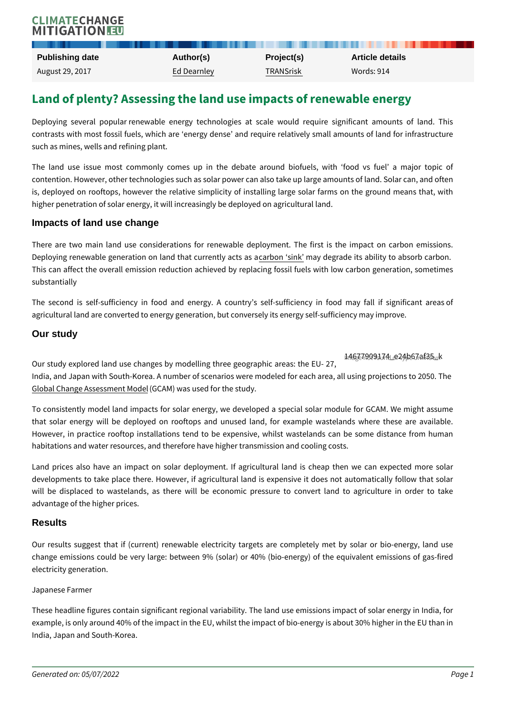# Land of plenty? Assessing the land use impacts of r

Deploying several popular renewable energy technologies at scale would r contrasts with most fossil fuels, which are energy dense and require relativ such as mines, wells and refining plant.

The land use issue most commonly comes up in the debate around biofu contention. However, other technologies such as solar power can also take up l is, deployed on rooftops, however the relative simplicity of installing large s higher penetration of solar energy, it will increasingly be deployed on agricultu

### Impacts of land use change

There are two main land use considerations for renewable deployment. The Deploying renewable generation on la**nd ribinat guarked elgy and e**sitass addility to absor This can affect the overall emission reduction achieved by replacing fossil fu substantially

The second is self-sufficiency in food and energy. A country s self-suffic agricultural land are converted to energy generation, but conversely its energy

## Our study

[14677909174\\_e24b67a](https://climatechangemitigation.eu/wp-content/uploads/2017/08/14677909174_e24b67af35_k.jpg)f35\_k Image not found or type unknown Our study explored land use changes by modelling three geographic areas: th India, and Japan with South-Korea. A number of scenarios were modeled for ea [Global Change Asse](http://www.globalchange.umd.edu/gcam/)s(SGnCeAnMo) Mwoadselused for the study.

To consistently model land impacts for solar energy, we developed a special that solar energy will be deployed on rooftops and unused land, for examp However, in practice rooftop installations tend to be expensive, whilst waste habitations and water resources, and therefore have higher transmission and co

Land prices also have an impact on solar deployment. If agricultural land i developments to take place there. However, if agricultural land is expensive will be displaced to wastelands, as there will be economic pressure to converted to an advantage of the higher prices.

# **Results**

Our results suggest that if (current) renewable electricity targets are comp change emissions could be very large: between 9% (solar) or 40% (bio-energ electricity generation.

## Japanese Farmer

These headline figures contain significant regional variability. The land use e example, is only around 40% of the impact in the EU, whilst the impact of bio-e India, Japan and South-Korea.